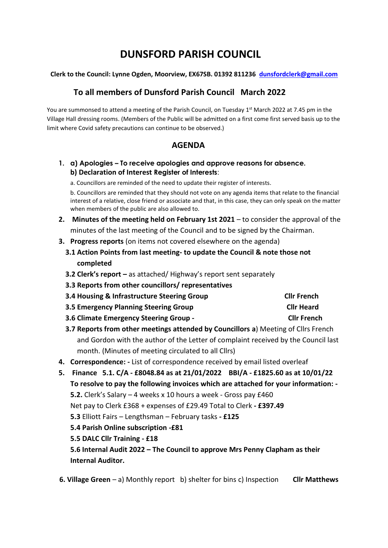# **DUNSFORD PARISH COUNCIL**

#### **Clerk to the Council: Lynne Ogden, Moorview, EX67SB. 01392 811236 [dunsfordclerk@gmail.com](mailto:dunsfordclerk@gmail.com)**

## **To all members of Dunsford Parish Council March 2022**

You are summonsed to attend a meeting of the Parish Council, on Tuesday 1<sup>st</sup> March 2022 at 7.45 pm in the Village Hall dressing rooms. (Members of the Public will be admitted on a first come first served basis up to the limit where Covid safety precautions can continue to be observed.)

## **AGENDA**

- **1. a) Apologies – To receive apologies and approve reasons for absence. b) Declaration of Interest Register of Interests**:
	- a. Councillors are reminded of the need to update their register of interests.

b. Councillors are reminded that they should not vote on any agenda items that relate to the financial interest of a relative, close friend or associate and that, in this case, they can only speak on the matter when members of the public are also allowed to.

- **2. Minutes of the meeting held on February 1st 2021** to consider the approval of the minutes of the last meeting of the Council and to be signed by the Chairman.
- **3. Progress reports** (on items not covered elsewhere on the agenda)
	- **3.1 Action Points from last meeting- to update the Council & note those not completed**
	- **3.2 Clerk's report –** as attached/ Highway's report sent separately
	- **3.3 Reports from other councillors/ representatives**

| 3.4 Housing & Infrastructure Steering Group | <b>Clir French</b> |
|---------------------------------------------|--------------------|
| 3.5 Emergency Planning Steering Group       | <b>Cllr Heard</b>  |

- **3.6 Climate Emergency Steering Group Cllr French**
- **3.7 Reports from other meetings attended by Councillors a**) Meeting of Cllrs French and Gordon with the author of the Letter of complaint received by the Council last month. (Minutes of meeting circulated to all Cllrs)
- **4. Correspondence: -** List of correspondence received by email listed overleaf
- **5. Finance 5.1. C/A - £8048.84 as at 21/01/2022 BBI/A - £1825.60 as at 10/01/22 To resolve to pay the following invoices which are attached for your information: - 5.2.** Clerk's Salary – 4 weeks x 10 hours a week - Gross pay £460 Net pay to Clerk £368 + expenses of £29.49 Total to Clerk **- £397.49 5.3** Elliott Fairs – Lengthsman – February tasks **- £125 5.4 Parish Online subscription -£81 5.5 DALC Cllr Training - £18 5.6 Internal Audit 2022 – The Council to approve Mrs Penny Clapham as their Internal Auditor.**

 **6. Village Green** – a) Monthly report b) shelter for bins c) Inspection **Cllr Matthews**